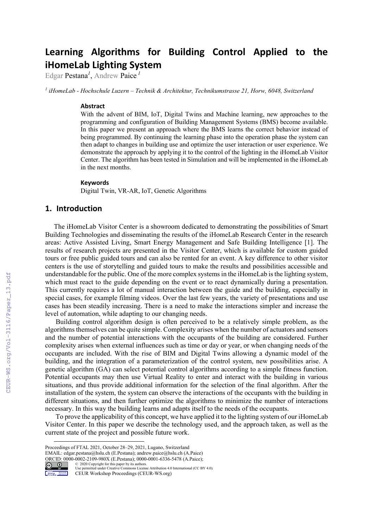# **Learning Algorithms for Building Control Applied to the iHomeLab Lighting System**

Edgar Pestana*<sup>1</sup>* , Andrew Paice *<sup>1</sup>*

*<sup>1</sup> iHomeLab - Hochschule Luzern – Technik & Architektur, Technikumstrasse 21, Horw, 6048, Switzerland*

#### **Abstract**

With the advent of BIM, IoT, Digital Twins and Machine learning, new approaches to the programming and configuration of Building Management Systems (BMS) become available. In this paper we present an approach where the BMS learns the correct behavior instead of being programmed. By continuing the learning phase into the operation phase the system can then adapt to changes in building use and optimize the user interaction or user experience. We demonstrate the approach by applying it to the control of the lighting in the iHomeLab Visitor Center. The algorithm has been tested in Simulation and will be implemented in the iHomeLab in the next months.

#### **Keywords [1](#page-0-0)**

Digital Twin, VR-AR, IoT, Genetic Algorithms

## **1. Introduction**

The iHomeLab Visitor Center is a showroom dedicated to demonstrating the possibilities of Smart Building Technologies and disseminating the results of the iHomeLab Research Center in the research areas: Active Assisted Living, Smart Energy Management and Safe Building Intelligence [1]. The results of research projects are presented in the Visitor Center, which is available for custom guided tours or free public guided tours and can also be rented for an event. A key difference to other visitor centers is the use of storytelling and guided tours to make the results and possibilities accessible and understandable for the public. One of the more complex systems in the iHomeLab isthe lighting system, which must react to the guide depending on the event or to react dynamically during a presentation. This currently requires a lot of manual interaction between the guide and the building, especially in special cases, for example filming videos. Over the last few years, the variety of presentations and use cases has been steadily increasing. There is a need to make the interactions simpler and increase the level of automation, while adapting to our changing needs.

Building control algorithm design is often perceived to be a relatively simple problem, as the algorithms themselves can be quite simple. Complexity arises when the number of actuators and sensors and the number of potential interactions with the occupants of the building are considered. Further complexity arises when external influences such as time or day or year, or when changing needs of the occupants are included. With the rise of BIM and Digital Twins allowing a dynamic model of the building, and the integration of a parameterization of the control system, new possibilities arise. A genetic algorithm (GA) can select potential control algorithms according to a simple fitness function. Potential occupants may then use Virtual Reality to enter and interact with the building in various situations, and thus provide additional information for the selection of the final algorithm. After the installation of the system, the system can observe the interactions of the occupants with the building in different situations, and then further optimize the algorithms to minimize the number of interactions necessary. In this way the building learns and adapts itself to the needs of the occupants.

To prove the applicability of this concept, we have applied it to the lighting system of our iHomeLab Visitor Center. In this paper we describe the technology used, and the approach taken, as well as the current state of the project and possible future work.

EMAIL: edgar.pestana@hslu.ch (E.Pestana); andrew.paice@hslu.ch (A.Paice) ORCID:  $0000-0002-2109-980X$  (E.Pestana);  $0000-0001-6336-5478$  (A.Paice);<br>  $\bigcirc$   $\bigcirc$  2020 Copyright for this paper by its authors.



Use permitted under Creative Commons License Attribution 4.0 International (CC BY 4.0). CEUR Workshop Proceedings (CEUR-WS.org)

<span id="page-0-0"></span>Proceedings of FTAL 2021, October 28–29, 2021, Lugano, Switzerland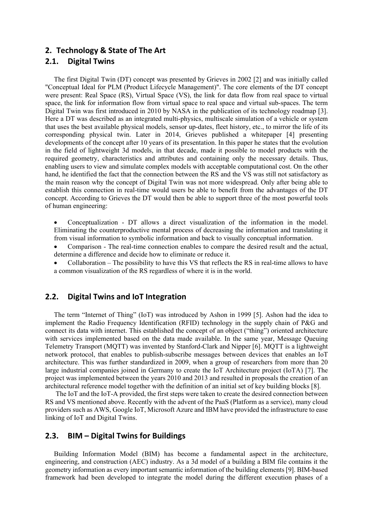### **2. Technology & State of The Art**

#### **2.1. Digital Twins**

The first Digital Twin (DT) concept was presented by Grieves in 2002 [2] and was initially called "Conceptual Ideal for PLM (Product Lifecycle Management)". The core elements of the DT concept were present: Real Space (RS), Virtual Space (VS), the link for data flow from real space to virtual space, the link for information flow from virtual space to real space and virtual sub-spaces. The term Digital Twin was first introduced in 2010 by NASA in the publication of its technology roadmap [3]. Here a DT was described as an integrated multi-physics, multiscale simulation of a vehicle or system that uses the best available physical models, sensor up-dates, fleet history, etc., to mirror the life of its corresponding physical twin. Later in 2014, Grieves published a whitepaper [4] presenting developments of the concept after 10 years of its presentation. In this paper he states that the evolution in the field of lightweight 3d models, in that decade, made it possible to model products with the required geometry, characteristics and attributes and containing only the necessary details. Thus, enabling users to view and simulate complex models with acceptable computational cost. On the other hand, he identified the fact that the connection between the RS and the VS was still not satisfactory as the main reason why the concept of Digital Twin was not more widespread. Only after being able to establish this connection in real-time would users be able to benefit from the advantages of the DT concept. According to Grieves the DT would then be able to support three of the most powerful tools of human engineering:

• Conceptualization - DT allows a direct visualization of the information in the model. Eliminating the counterproductive mental process of decreasing the information and translating it from visual information to symbolic information and back to visually conceptual information.

• Comparison - The real-time connection enables to compare the desired result and the actual, determine a difference and decide how to eliminate or reduce it.

• Collaboration – The possibility to have this VS that reflects the RS in real-time allows to have a common visualization of the RS regardless of where it is in the world.

#### **2.2. Digital Twins and IoT Integration**

The term "Internet of Thing" (IoT) was introduced by Ashon in 1999 [5]. Ashon had the idea to implement the Radio Frequency Identification (RFID) technology in the supply chain of P&G and connect its data with internet. This established the concept of an object ("thing") oriented architecture with services implemented based on the data made available. In the same year, Message Queuing Telemetry Transport (MQTT) was invented by Stanford-Clark and Nipper [6]. MQTT is a lightweight network protocol, that enables to publish-subscribe messages between devices that enables an IoT architecture. This was further standardized in 2009, when a group of researchers from more than 20 large industrial companies joined in Germany to create the IoT Architecture project (IoTA) [7]. The project was implemented between the years 2010 and 2013 and resulted in proposals the creation of an architectural reference model together with the definition of an initial set of key building blocks [8].

The IoT and the IoT-A provided, the first steps were taken to create the desired connection between RS and VS mentioned above. Recently with the advent of the PaaS (Platform as a service), many cloud providers such as AWS, Google IoT, Microsoft Azure and IBM have provided the infrastructure to ease linking of IoT and Digital Twins.

#### **2.3. BIM – Digital Twins for Buildings**

Building Information Model (BIM) has become a fundamental aspect in the architecture, engineering, and construction (AEC) industry. As a 3d model of a building a BIM file contains it the geometry information as every important semantic information of the building elements [9]. BIM-based framework had been developed to integrate the model during the different execution phases of a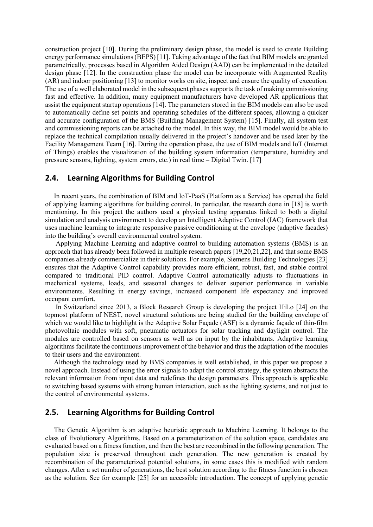construction project [10]. During the preliminary design phase, the model is used to create Building energy performance simulations (BEPS) [11]. Taking advantage of the fact that BIM models are granted parametrically, processes based in Algorithm Aided Design (AAD) can be implemented in the detailed design phase [12]. In the construction phase the model can be incorporate with Augmented Reality (AR) and indoor positioning [13] to monitor works on site, inspect and ensure the quality of execution. The use of a well elaborated model in the subsequent phases supports the task of making commissioning fast and effective. In addition, many equipment manufacturers have developed AR applications that assist the equipment startup operations [14]. The parameters stored in the BIM models can also be used to automatically define set points and operating schedules of the different spaces, allowing a quicker and accurate configuration of the BMS (Building Management System) [15]. Finally, all system test and commissioning reports can be attached to the model. In this way, the BIM model would be able to replace the technical compilation usually delivered in the project's handover and be used later by the Facility Management Team [16]. During the operation phase, the use of BIM models and IoT (Internet of Things) enables the visualization of the building system information (temperature, humidity and pressure sensors, lighting, system errors, etc.) in real time – Digital Twin. [17]

#### **2.4. Learning Algorithms for Building Control**

In recent years, the combination of BIM and IoT-PaaS (Platform as a Service) has opened the field of applying learning algorithms for building control. In particular, the research done in [18] is worth mentioning. In this project the authors used a physical testing apparatus linked to both a digital simulation and analysis environment to develop an Intelligent Adaptive Control (IAC) framework that uses machine learning to integrate responsive passive conditioning at the envelope (adaptive facades) into the building's overall environmental control system.

Applying Machine Learning and adaptive control to building automation systems (BMS) is an approach that has already been followed in multiple research papers [19,20,21,22], and that some BMS companies already commercialize in their solutions. For example, Siemens Building Technologies [23] ensures that the Adaptive Control capability provides more efficient, robust, fast, and stable control compared to traditional PID control. Adaptive Control automatically adjusts to fluctuations in mechanical systems, loads, and seasonal changes to deliver superior performance in variable environments. Resulting in energy savings, increased component life expectancy and improved occupant comfort.

In Switzerland since 2013, a Block Research Group is developing the project HiLo [24] on the topmost platform of NEST, novel structural solutions are being studied for the building envelope of which we would like to highlight is the Adaptive Solar Façade (ASF) is a dynamic façade of thin-film photovoltaic modules with soft, pneumatic actuators for solar tracking and daylight control. The modules are controlled based on sensors as well as on input by the inhabitants. Adaptive learning algorithms facilitate the continuous improvement of the behavior and thus the adaptation of the modules to their users and the environment.

Although the technology used by BMS companies is well established, in this paper we propose a novel approach. Instead of using the error signals to adapt the control strategy, the system abstracts the relevant information from input data and redefines the design parameters. This approach is applicable to switching based systems with strong human interaction, such as the lighting systems, and not just to the control of environmental systems.

#### **2.5. Learning Algorithms for Building Control**

The Genetic Algorithm is an adaptive heuristic approach to Machine Learning. It belongs to the class of Evolutionary Algorithms. Based on a parameterization of the solution space, candidates are evaluated based on a fitness function, and then the best are recombined in the following generation. The population size is preserved throughout each generation. The new generation is created by recombination of the parameterized potential solutions, in some cases this is modified with random changes. After a set number of generations, the best solution according to the fitness function is chosen as the solution. See for example [25] for an accessible introduction. The concept of applying genetic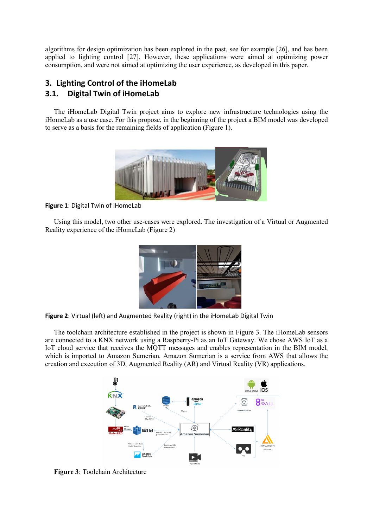algorithms for design optimization has been explored in the past, see for example [26], and has been applied to lighting control [27]. However, these applications were aimed at optimizing power consumption, and were not aimed at optimizing the user experience, as developed in this paper.

# **3. Lighting Control of the iHomeLab 3.1. Digital Twin of iHomeLab**

The iHomeLab Digital Twin project aims to explore new infrastructure technologies using the iHomeLab as a use case. For this propose, in the beginning of the project a BIM model was developed to serve as a basis for the remaining fields of application (Figure 1).



**Figure 1**: Digital Twin of iHomeLab

Using this model, two other use-cases were explored. The investigation of a Virtual or Augmented Reality experience of the iHomeLab (Figure 2)



**Figure 2**: Virtual (left) and Augmented Reality (right) in the iHomeLab Digital Twin

The toolchain architecture established in the project is shown in Figure 3. The iHomeLab sensors are connected to a KNX network using a Raspberry-Pi as an IoT Gateway. We chose AWS IoT as a IoT cloud service that receives the MQTT messages and enables representation in the BIM model, which is imported to Amazon Sumerian. Amazon Sumerian is a service from AWS that allows the creation and execution of 3D, Augmented Reality (AR) and Virtual Reality (VR) applications.



**Figure 3**: Toolchain Architecture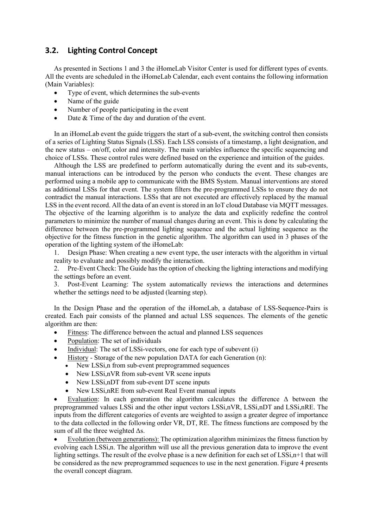# **3.2. Lighting Control Concept**

As presented in Sections 1 and 3 the iHomeLab Visitor Center is used for different types of events. All the events are scheduled in the iHomeLab Calendar, each event contains the following information (Main Variables):

- Type of event, which determines the sub-events
- Name of the guide
- Number of people participating in the event
- Date  $&$  Time of the day and duration of the event.

In an iHomeLab event the guide triggers the start of a sub-event, the switching control then consists of a series of Lighting Status Signals (LSS). Each LSS consists of a timestamp, a light designation, and the new status – on/off, color and intensity. The main variables influence the specific sequencing and choice of LSSs. These control rules were defined based on the experience and intuition of the guides.

Although the LSS are predefined to perform automatically during the event and its sub-events, manual interactions can be introduced by the person who conducts the event. These changes are performed using a mobile app to communicate with the BMS System. Manual interventions are stored as additional LSSs for that event. The system filters the pre-programmed LSSs to ensure they do not contradict the manual interactions. LSSs that are not executed are effectively replaced by the manual LSS in the event record. All the data of an event is stored in an IoT cloud Database via MQTT messages. The objective of the learning algorithm is to analyze the data and explicitly redefine the control parameters to minimize the number of manual changes during an event. This is done by calculating the difference between the pre-programmed lighting sequence and the actual lighting sequence as the objective for the fitness function in the genetic algorithm. The algorithm can used in 3 phases of the operation of the lighting system of the iHomeLab:

1. Design Phase: When creating a new event type, the user interacts with the algorithm in virtual reality to evaluate and possibly modify the interaction.

2. Pre-Event Check: The Guide has the option of checking the lighting interactions and modifying the settings before an event.

3. Post-Event Learning: The system automatically reviews the interactions and determines whether the settings need to be adjusted (learning step).

In the Design Phase and the operation of the iHomeLab, a database of LSS-Sequence-Pairs is created. Each pair consists of the planned and actual LSS sequences. The elements of the genetic algorithm are then:

- Fitness: The difference between the actual and planned LSS sequences
- Population: The set of individuals
- Individual: The set of LSSi-vectors, one for each type of subevent (i)
- History Storage of the new population DATA for each Generation (n):
	- New LSSi,n from sub-event preprogrammed sequences
	- New LSSi,nVR from sub-event VR scene inputs
	- New LSSi,nDT from sub-event DT scene inputs
	- New LSSi, nRE from sub-event Real Event manual inputs

Evaluation: In each generation the algorithm calculates the difference  $\Delta$  between the preprogrammed values LSSi and the other input vectors LSSi,nVR, LSSi,nDT and LSSi,nRE. The inputs from the different categories of events are weighted to assign a greater degree of importance to the data collected in the following order VR, DT, RE. The fitness functions are composed by the sum of all the three weighted Δs.

• Evolution (between generations): The optimization algorithm minimizes the fitness function by evolving each LSSi,n. The algorithm will use all the previous generation data to improve the event lighting settings. The result of the evolve phase is a new definition for each set of LSSi, n+1 that will be considered as the new preprogrammed sequences to use in the next generation. Figure 4 presents the overall concept diagram.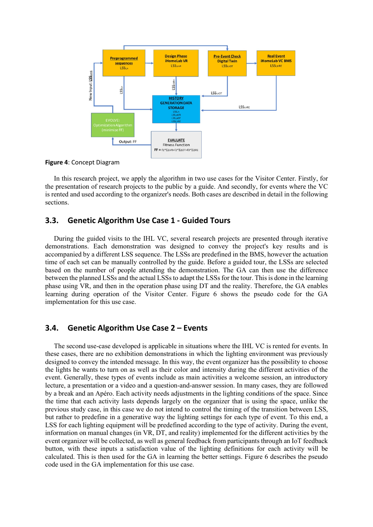

**Figure 4**: Concept Diagram

In this research project, we apply the algorithm in two use cases for the Visitor Center. Firstly, for the presentation of research projects to the public by a guide. And secondly, for events where the VC is rented and used according to the organizer's needs. Both cases are described in detail in the following sections.

#### **3.3. Genetic Algorithm Use Case 1 - Guided Tours**

During the guided visits to the IHL VC, several research projects are presented through iterative demonstrations. Each demonstration was designed to convey the project's key results and is accompanied by a different LSS sequence. The LSSs are predefined in the BMS, however the actuation time of each set can be manually controlled by the guide. Before a guided tour, the LSSs are selected based on the number of people attending the demonstration. The GA can then use the difference between the planned LSSs and the actual LSSs to adapt the LSSs for the tour. This is done in the learning phase using VR, and then in the operation phase using DT and the reality. Therefore, the GA enables learning during operation of the Visitor Center. Figure 6 shows the pseudo code for the GA implementation for this use case.

## **3.4. Genetic Algorithm Use Case 2 – Events**

The second use-case developed is applicable in situations where the IHL VC is rented for events. In these cases, there are no exhibition demonstrations in which the lighting environment was previously designed to convey the intended message. In this way, the event organizer has the possibility to choose the lights he wants to turn on as well as their color and intensity during the different activities of the event. Generally, these types of events include as main activities a welcome session, an introductory lecture, a presentation or a video and a question-and-answer session. In many cases, they are followed by a break and an Apéro. Each activity needs adjustments in the lighting conditions of the space. Since the time that each activity lasts depends largely on the organizer that is using the space, unlike the previous study case, in this case we do not intend to control the timing of the transition between LSS, but rather to predefine in a generative way the lighting settings for each type of event. To this end, a LSS for each lighting equipment will be predefined according to the type of activity. During the event, information on manual changes (in VR, DT, and reality) implemented for the different activities by the event organizer will be collected, as well as general feedback from participants through an IoT feedback button, with these inputs a satisfaction value of the lighting definitions for each activity will be calculated. This is then used for the GA in learning the better settings. Figure 6 describes the pseudo code used in the GA implementation for this use case.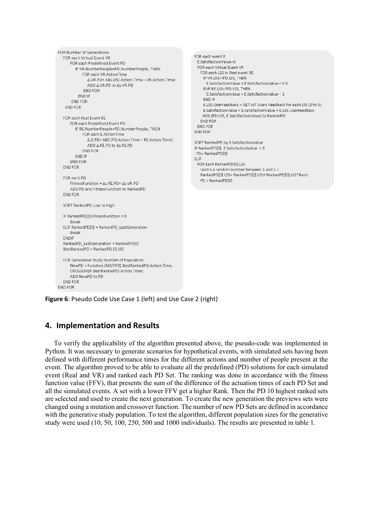```
FOR Number of Generations
  FOR each Virtual Event VR
      FOR each Predefined Event PD
        IF VR.NumberPeople=PD.NumberPeople, THEN
            FOR each VR.ActionTime
              Δ.VR.PD= ABS (PD.Action.Time - VR.Action.Time)
              ADD Δ.VR.PD to Δs.VR.PD
             FND FOR
          END IF
      FND FOR
   END FOR
  FOR each Real Event RE
      FOR each Predefined Event PD
        IF RE.NumberPeople=PD.NumberPeople. THEN
            FOR each E.ActionTime
              Δ.E.PD= ABS (PD.Action.Time - RE.Action.Time)
              ADD Δ.RE.PD to Δs.RE.PD
            END FOR
        FND IF
      END FOR
  END FOR
  FOR each PD
      FitnessFunction = \Deltas.RE.PD+ \Deltas.VR.PD
      ADD PD and FitnessFunction to RankedPD
  END FOR
  SORT RankedPD Low to High
  IF RankedPD[0].FitnessFunction = 0
     Break
  ELIF RankedPDI01 = RankedPD LastGeneration
     Break
  ENDIF
  RankedPD LastGeneration = RankedPD[0]
  BestRankedPD = RankedPD [0,10]
  FOR Generative Study Number of Population
      NewPD = Function (MUTATE BestRankedPD.Action.Time,
      CROSSOVER BestRankedPD.Action.Time)
     ADD NewPD to PD
  END FOR
END FOR
```

```
FOR each event E
 E.SatisfactionValue=0
 FOR each Virtual Event VR
   FOR each LSS in Real event RE
    IF VR.LSS=!PD.LSS, THEN
      E.SatisfactionValue = E.SatisfactionValue - 0.5ELIF RE.LSS=!PD.LSS, THEN
     E.SatisfactionValue = E.SatisfactionValue - 1
    END IF
    F LSS UserFeedback = GET IoT Users Feedback for each LSS (0 to 5)
    E.SatisfactionValue = E.SatisfactionValue + E.LSS.UserFeedback
    ADD (PD.LSS, E.SatisfactionValue) to RankedPD
   END FOR
 END FOR
END FOR
SORT RankedPD by E.SatisfactionValue
IF RankedPD[0]. E.SatisfactionValue = 5
PD= RankedPD[0]
ELIF
 FOR Each RankedPD[0].LSS
   rand = a random number between 1 and 1.1
   RankedPD[0].LSS= RankedPD[0].LSS+ RankedPD[0].LSS*Rand
   PD = RankedPD[0]
```
**Figure 6**: Pseudo Code Use Case 1 (left) and Use Case 2 (right)

#### **4. Implementation and Results**

To verify the applicability of the algorithm presented above, the pseudo-code was implemented in Python. It was necessary to generate scenarios for hypothetical events, with simulated sets having been defined with different performance times for the different actions and number of people present at the event. The algorithm proved to be able to evaluate all the predefined (PD) solutions for each simulated event (Real and VR) and ranked each PD Set. The ranking was done in accordance with the fitness function value (FFV), that presents the sum of the difference of the actuation times of each PD Set and all the simulated events. A set with a lower FFV get a higher Rank. Then the PD 10 highest ranked sets are selected and used to create the next generation. To create the new generation the previews sets were changed using a mutation and crossover function. The number of new PD Sets are defined in accordance with the generative study population. To test the algorithm, different population sizes for the generative study were used (10, 50, 100, 250, 500 and 1000 individuals). The results are presented in table 1.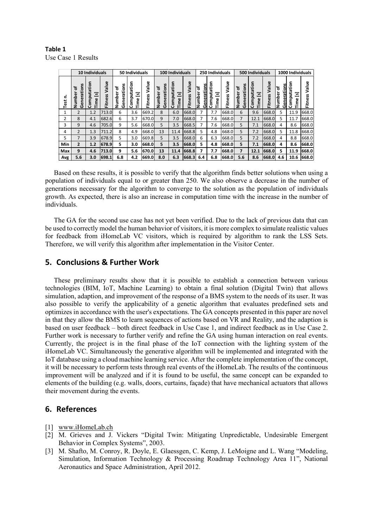**Table 1** Use Case 1 Results

|           | 10 Individuals                |                                                 |                  | 50 Individuals             |                                                    |                  | 100 Individuals                |                                       |                         | 250 Individuals            |                                                   |                  | 500 Individuals                           |                              |                         | 1000 Individuals                   |                              |                             |
|-----------|-------------------------------|-------------------------------------------------|------------------|----------------------------|----------------------------------------------------|------------------|--------------------------------|---------------------------------------|-------------------------|----------------------------|---------------------------------------------------|------------------|-------------------------------------------|------------------------------|-------------------------|------------------------------------|------------------------------|-----------------------------|
| ċ<br>Test | S<br>Generation<br>ኄ<br>Numbe | ë<br>Computa<br>$\overline{\mathbf{S}}$<br>Time | Value<br>Fitness | Generations<br>ኄ<br>Number | ⊆<br>Computatio<br>$\overline{\mathbf{z}}$<br>Time | Value<br>Fitness | w<br>Generation<br>৳<br>Number | Computation<br>$\overline{s}$<br>Time | Value<br><b>Fitness</b> | Generations<br>ిర<br>Numbe | c<br>۰<br>÷<br>ω<br>್<br>ت<br>Ω<br>Time<br>۰<br>O | Value<br>Fitness | Generations<br>ኄ<br>mbe<br>$\overline{z}$ | tion<br>Computa<br>5<br>Time | Value<br><b>Fitness</b> | Generations<br>ľъ<br><b>Number</b> | ation<br>Comput<br>s<br>Time | Value<br>s<br><b>Fitnes</b> |
| 1         | 2                             | 1.2                                             | 713.0            | 6                          | 3.6                                                | 669.2            | 8                              | 6.0                                   | 668.0                   | 7                          | 7.7                                               | 668.0            | 6                                         | 9.6                          | 668.0                   | 5                                  | 11.9                         | 668.0                       |
| 2         | 8                             | 4.1                                             | 682.6            | 6                          | 3.7                                                | 670.0            | 9                              | 7.0                                   | 668.0                   | 7                          | 7.6                                               | 668.0            | 7                                         | 12.1                         | 668.0                   | 5                                  | 11.7                         | 668.0                       |
| 3         | 9                             | 4.6                                             | 705.0            | 9                          | 5.6                                                | 668.0            | 5                              | 3.5                                   | 668.5                   | 7                          | 7.6                                               | 668.0            | 5                                         | 7.1                          | 668.0                   | 4                                  | 8.6                          | 668.0                       |
| 4         | $\overline{2}$                | 1.3                                             | 711.2            | 8                          | 4.9                                                | 668.0            | 13                             | 11.4                                  | 668.8                   | 5                          | 4.8                                               | 668.0            | 5                                         | 7.2                          | 668.0                   | 5                                  | 11.8                         | 668.0                       |
| 5         | 7                             | 3.9                                             | 678.9            | 5                          | 3.0                                                | 669.8            | 5                              | 3.5                                   | 668.0                   | 6                          | 6.3                                               | 668.0            | 5                                         | 7.2                          | 668.0                   | 4                                  | 8.8                          | 668.0                       |
| Min       | $\overline{2}$                | 1.2                                             | 678.9            | 5                          | 3.0                                                | 668.0            | 5                              | 3.5                                   | 668.0                   | 5                          | 4.8                                               | 668.0            | 5                                         | 7.1                          | 668.0                   | 4                                  | 8.6                          | 668.0                       |
| Max       | 9                             | 4.6                                             | 713.0            | 9                          | 5.6                                                | 670.0            | 13                             | 11.4                                  | 668.8                   | 7                          | 7.7                                               | 668.0            | 7                                         | 12.1                         | 668.0                   | 5                                  | 11.9                         | 668.0                       |
| Avg       | 5.6                           | 3.0                                             | 698.1            | 6.8                        | 4.2                                                | 669.0            | 8.0                            | 6.3                                   | 668.3                   | 6.4                        | 6.8                                               | 668.0            | 5.6                                       | 8.6                          | 668.0                   | 4.6                                | 10.6                         | 668.0                       |

Based on these results, it is possible to verify that the algorithm finds better solutions when using a population of individuals equal to or greater than 250. We also observe a decrease in the number of generations necessary for the algorithm to converge to the solution as the population of individuals growth. As expected, there is also an increase in computation time with the increase in the number of individuals.

The GA for the second use case has not yet been verified. Due to the lack of previous data that can be used to correctly model the human behavior of visitors, it is more complex to simulate realistic values for feedback from iHomeLab VC visitors, which is required by algorithm to rank the LSS Sets. Therefore, we will verify this algorithm after implementation in the Visitor Center.

## **5. Conclusions & Further Work**

These preliminary results show that it is possible to establish a connection between various technologies (BIM, IoT, Machine Learning) to obtain a final solution (Digital Twin) that allows simulation, adaption, and improvement of the response of a BMS system to the needs of its user. It was also possible to verify the applicability of a genetic algorithm that evaluates predefined sets and optimizes in accordance with the user's expectations. The GA concepts presented in this paper are novel in that they allow the BMS to learn sequences of actions based on VR and Reality, and the adaption is based on user feedback – both direct feedback in Use Case 1, and indirect feedback as in Use Case 2. Further work is necessary to further verify and refine the GA using human interaction on real events. Currently, the project is in the final phase of the IoT connection with the lighting system of the iHomeLab VC. Simultaneously the generative algorithm will be implemented and integrated with the IoT database using a cloud machine learning service. After the complete implementation of the concept, it will be necessary to perform tests through real events of the iHomeLab. The results of the continuous improvement will be analyzed and if it is found to be useful, the same concept can be expanded to elements of the building (e.g. walls, doors, curtains, façade) that have mechanical actuators that allows their movement during the events. **Example 1**<br> **Example 1 Example 1 Example 1 Example 1**<br> **Example 1 Example 1 Example 1 Example 1 Example 1**<br> **Example 1 Example 1 Example 1 Example 1 Example 1**<br> **Example 1 Example 1 Example 1**

#### **6. References**

- [1] [www.iHomeLab.ch](http://www.ihomelab.ch/)
- [2] M. Grieves and J. Vickers "Digital Twin: Mitigating Unpredictable, Undesirable Emergent Behavior in Complex Systems", 2003.
- [3] M. Shafto, M. Conroy, R. Doyle, E. Glaessgen, C. Kemp, J. LeMoigne and L. Wang "Modeling, Simulation, Information Technology & Processing Roadmap Technology Area 11", National